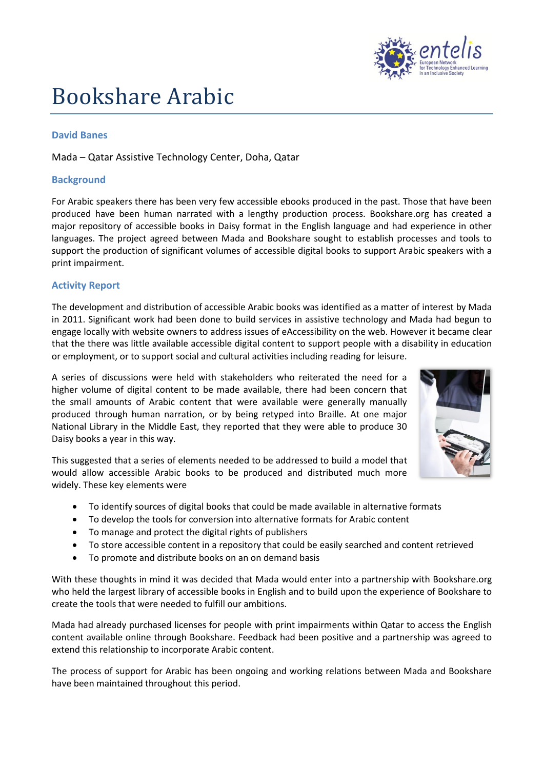

# Bookshare Arabic

#### **David Banes**

### Mada – Qatar Assistive Technology Center, Doha, Qatar

#### **Background**

For Arabic speakers there has been very few accessible ebooks produced in the past. Those that have been produced have been human narrated with a lengthy production process. Bookshare.org has created a major repository of accessible books in Daisy format in the English language and had experience in other languages. The project agreed between Mada and Bookshare sought to establish processes and tools to support the production of significant volumes of accessible digital books to support Arabic speakers with a print impairment.

#### **Activity Report**

The development and distribution of accessible Arabic books was identified as a matter of interest by Mada in 2011. Significant work had been done to build services in assistive technology and Mada had begun to engage locally with website owners to address issues of eAccessibility on the web. However it became clear that the there was little available accessible digital content to support people with a disability in education or employment, or to support social and cultural activities including reading for leisure.

A series of discussions were held with stakeholders who reiterated the need for a higher volume of digital content to be made available, there had been concern that the small amounts of Arabic content that were available were generally manually produced through human narration, or by being retyped into Braille. At one major National Library in the Middle East, they reported that they were able to produce 30 Daisy books a year in this way.



This suggested that a series of elements needed to be addressed to build a model that would allow accessible Arabic books to be produced and distributed much more widely. These key elements were

- To identify sources of digital books that could be made available in alternative formats
- To develop the tools for conversion into alternative formats for Arabic content
- To manage and protect the digital rights of publishers
- To store accessible content in a repository that could be easily searched and content retrieved
- To promote and distribute books on an on demand basis

With these thoughts in mind it was decided that Mada would enter into a partnership with Bookshare.org who held the largest library of accessible books in English and to build upon the experience of Bookshare to create the tools that were needed to fulfill our ambitions.

Mada had already purchased licenses for people with print impairments within Qatar to access the English content available online through Bookshare. Feedback had been positive and a partnership was agreed to extend this relationship to incorporate Arabic content.

The process of support for Arabic has been ongoing and working relations between Mada and Bookshare have been maintained throughout this period.